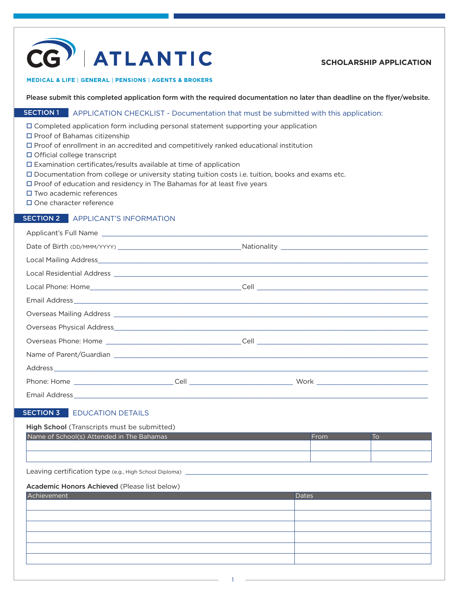

## **SCHOLARSHIP APPLICATION**

#### MEDICAL & LIFE | GENERAL | PENSIONS | AGENTS & BROKERS

Please submit this completed application form with the required documentation no later than deadline on the flyer/website.

## **SECTION 1** APPLICATION CHECKLIST - Documentation that must be submitted with this application:

Completed application form including personal statement supporting your application

- $\square$  Proof of Bahamas citizenship
- $\square$  Proof of enrollment in an accredited and competitively ranked educational institution
- $\Box$  Official college transcript
- Examination certificates/results available at time of application
- Documentation from college or university stating tuition costs i.e. tuition, books and exams etc.
- $\Box$  Proof of education and residency in The Bahamas for at least five years
- $\square$  Two academic references
- □ One character reference

### SECTION 2 APPLICANT'S INFORMATION

Applicant's Full Name

## SECTION 3 EDUCATION DETAILS

#### High School (Transcripts must be submitted)

| Name of School(s) Attended in The Bahamas | -rom |  |
|-------------------------------------------|------|--|
|                                           |      |  |
|                                           |      |  |

Leaving certification type (e.g., High School Diploma)

#### Academic Honors Achieved (Please list below)

| Achievement | Dates |
|-------------|-------|
|             |       |
|             |       |
|             |       |
|             |       |
|             |       |
|             |       |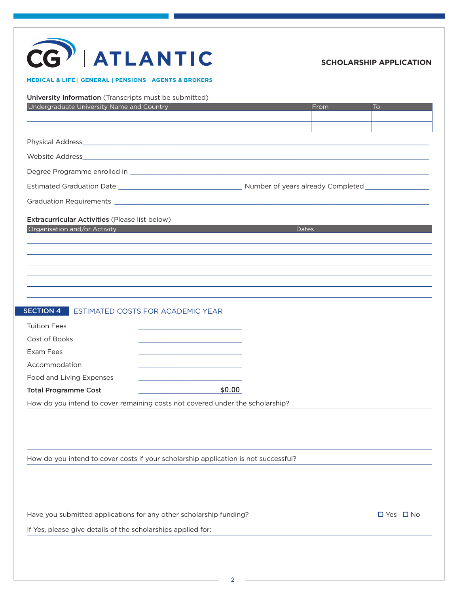## CG ATLANTIC

## **SCHOLARSHIP APPLICATION**

#### MEDICAL & LIFE | GENERAL | PENSIONS | AGENTS & BROKERS

| Undergraduate University Name and Country                                      |        | From         | To |
|--------------------------------------------------------------------------------|--------|--------------|----|
|                                                                                |        |              |    |
|                                                                                |        |              |    |
|                                                                                |        |              |    |
|                                                                                |        |              |    |
|                                                                                |        |              |    |
|                                                                                |        |              |    |
|                                                                                |        |              |    |
|                                                                                |        |              |    |
| Extracurricular Activities (Please list below)<br>Organisation and/or Activity |        | <b>Dates</b> |    |
|                                                                                |        |              |    |
|                                                                                |        |              |    |
|                                                                                |        |              |    |
|                                                                                |        |              |    |
|                                                                                |        |              |    |
|                                                                                |        |              |    |
| <b>SECTION 4 ESTIMATED COSTS FOR ACADEMIC YEAR</b>                             |        |              |    |
| <b>Tuition Fees</b>                                                            |        |              |    |
| Cost of Books                                                                  |        |              |    |
| Exam Fees                                                                      |        |              |    |
| Accommodation                                                                  |        |              |    |
| Food and Living Expenses                                                       |        |              |    |
|                                                                                | \$0.00 |              |    |
| <b>Total Programme Cost</b>                                                    |        |              |    |

How do you intend to cover costs if your scholarship application is not successful?

Have you submitted applications for any other scholarship funding?  $\square$  Yes  $\square$  No

If Yes, please give details of the scholarships applied for: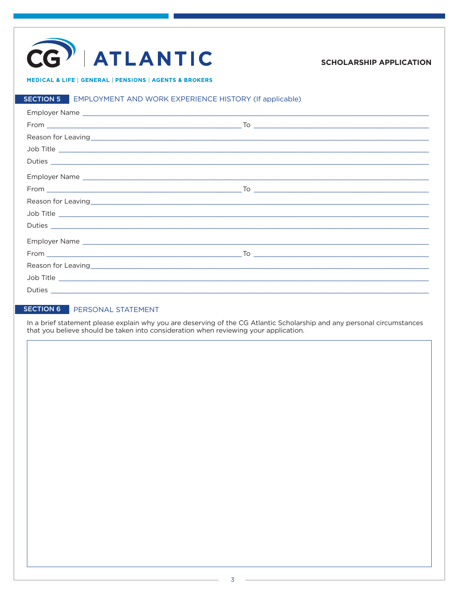# CG | ATLANTIC

## **SCHOLARSHIP APPLICATION**

#### MEDICAL & LIFE | GENERAL | PENSIONS | AGENTS & BROKERS

## SECTION 5 EMPLOYMENT AND WORK EXPERIENCE HISTORY (If applicable)

| Job Title |  |
|-----------|--|
|           |  |
|           |  |
|           |  |
|           |  |
| Job Title |  |
|           |  |
|           |  |
|           |  |
|           |  |
| Job Title |  |
|           |  |

## SECTION 6 PERSONAL STATEMENT

In a brief statement please explain why you are deserving of the CG Atlantic Scholarship and any personal circumstances that you believe should be taken into consideration when reviewing your application.